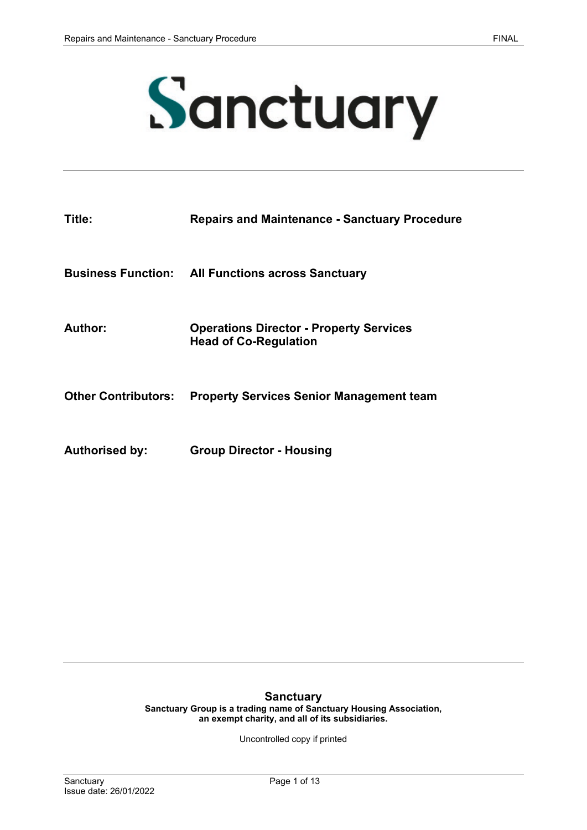

| Title:                     | <b>Repairs and Maintenance - Sanctuary Procedure</b>                           |
|----------------------------|--------------------------------------------------------------------------------|
|                            | <b>Business Function: All Functions across Sanctuary</b>                       |
| Author:                    | <b>Operations Director - Property Services</b><br><b>Head of Co-Regulation</b> |
| <b>Other Contributors:</b> | <b>Property Services Senior Management team</b>                                |
| <b>Authorised by:</b>      | <b>Group Director - Housing</b>                                                |

#### **Sanctuary**

**Sanctuary Group is a trading name of Sanctuary Housing Association, an exempt charity, and all of its subsidiaries.** 

Uncontrolled copy if printed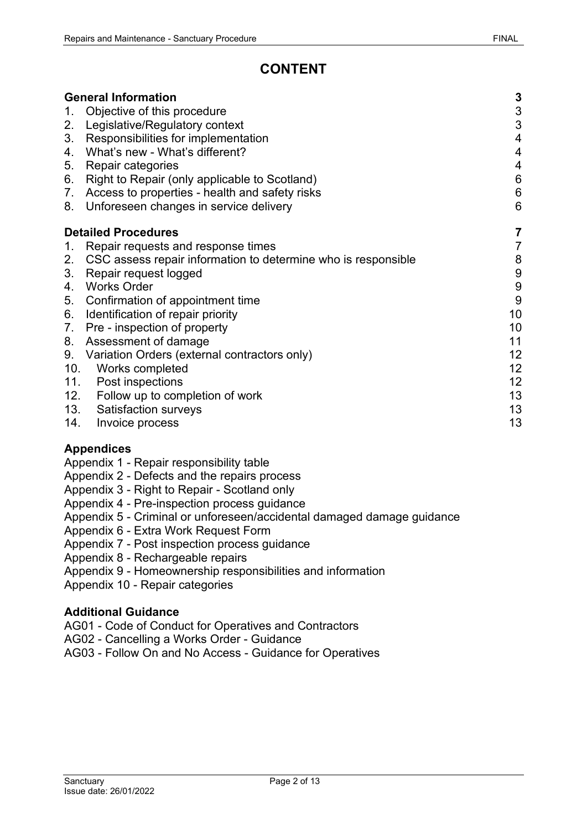# **CONTENT**

| <b>General Information</b> |                                                               |                           |
|----------------------------|---------------------------------------------------------------|---------------------------|
| $1_{\cdot}$                | Objective of this procedure                                   | $\ensuremath{\mathsf{3}}$ |
| 2.                         | Legislative/Regulatory context                                | $\sqrt{3}$                |
| 3.                         | Responsibilities for implementation                           | $\overline{4}$            |
| 4.                         | What's new - What's different?                                | $\overline{4}$            |
| 5.                         | Repair categories                                             | $\overline{4}$            |
| 6.                         | Right to Repair (only applicable to Scotland)                 | $\,6$                     |
|                            | 7. Access to properties - health and safety risks             | $\,6$                     |
|                            | 8. Unforeseen changes in service delivery                     | $6\phantom{1}6$           |
|                            | <b>Detailed Procedures</b>                                    | 7                         |
| 1.                         | Repair requests and response times                            | $\overline{7}$            |
| 2.                         | CSC assess repair information to determine who is responsible | 8                         |
| 3.                         | Repair request logged                                         | $\boldsymbol{9}$          |
| 4.                         | <b>Works Order</b>                                            | $\boldsymbol{9}$          |
| 5.                         | Confirmation of appointment time                              | $9\,$                     |
| 6.                         | Identification of repair priority                             | 10                        |
| 7.                         | Pre - inspection of property                                  | 10                        |
| 8.                         | Assessment of damage                                          | 11                        |
| 9.                         | Variation Orders (external contractors only)                  | 12                        |
|                            | 10. Works completed                                           | 12                        |
| 11.                        | <b>Post inspections</b>                                       | 12                        |
|                            | 12. Follow up to completion of work                           | 13                        |
|                            | 13. Satisfaction surveys                                      | 13                        |
| 14.                        | Invoice process                                               | 13                        |

# **Appendices**

- Appendix 1 Repair responsibility table
- Appendix 2 Defects and the repairs process
- Appendix 3 Right to Repair Scotland only
- Appendix 4 Pre-inspection process guidance
- Appendix 5 Criminal or unforeseen/accidental damaged damage guidance
- Appendix 6 Extra Work Request Form
- Appendix 7 Post inspection process guidance
- Appendix 8 Rechargeable repairs
- Appendix 9 Homeownership responsibilities and information
- Appendix 10 Repair categories

#### **Additional Guidance**

- AG01 Code of Conduct for Operatives and Contractors
- AG02 Cancelling a Works Order Guidance
- AG03 Follow On and No Access Guidance for Operatives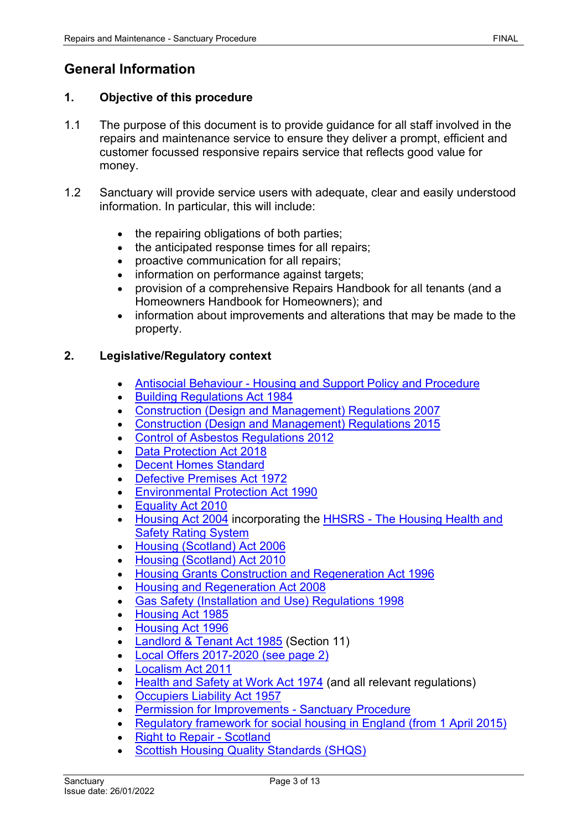# <span id="page-2-0"></span>**General Information**

#### <span id="page-2-1"></span>**1. Objective of this procedure**

- 1.1 The purpose of this document is to provide guidance for all staff involved in the repairs and maintenance service to ensure they deliver a prompt, efficient and customer focussed responsive repairs service that reflects good value for money.
- 1.2 Sanctuary will provide service users with adequate, clear and easily understood information. In particular, this will include:
	- the repairing obligations of both parties;
	- the anticipated response times for all repairs;
	- proactive communication for all repairs;
	- information on performance against targets;
	- provision of a comprehensive Repairs Handbook for all tenants (and a Homeowners Handbook for Homeowners); and
	- information about improvements and alterations that may be made to the property.

#### <span id="page-2-2"></span>**2. Legislative/Regulatory context**

- Antisocial Behaviour [Housing and Support Policy and Procedure](https://solis/PolicyManagement/policy/Policies/Forms/Policy%20Document%20Set/docsethomepage.aspx?ID=5580&FolderCTID=0x0120D52000DE99EA054D4DF944BE591D81E49729D0008C670BDB86BED740B0B89E295CD8357C&List=a03723e1-d48b-4958-9669-9b86a90ef8b0&RootFolder=%2FPolicyManagement%2Fpolicy%2FPolicies%2FAnti%2DSocial%20Behaviour%20%28ASB%29%20%2D%20Housing%20and%20Support&RecSrc=%2FPolicyManagement%2Fpolicy%2FPolicies%2FAnti%2DSocial%20Behaviour%20%28ASB%29%20%2D%20Housing%20and%20Support)
- [Building Regulations Act 1984](http://www.opsi.gov.uk/RevisedStatutes/Acts/ukpga/1984/cukpga_19840055_en_1)
- [Construction \(Design and Management\) Regulations 2007](http://www.opsi.gov.uk/si/si2007/uksi_20070320_en_1)
- [Construction \(Design and Management\) Regulations 2015](http://www.legislation.gov.uk/uksi/2015/51/contents/made)
- [Control of Asbestos Regulations 2012](http://www.legislation.gov.uk/uksi/2012/632/contents/made)
- [Data](http://www.legislation.gov.uk/ukpga/1998/29/contents) [Protection](http://www.legislation.gov.uk/ukpga/2018/12/contents) Act 2018
- [Decent Homes Standard](http://www.homesandcommunities.co.uk/decenthomes)
- [Defective Premises Act 1972](http://www.opsi.gov.uk/RevisedStatutes/Acts/ukpga/1972/cukpga_19720035_en_1)
- [Environmental Protection Act 1990](http://www.opsi.gov.uk/acts/acts1990/ukpga_19900043_en_1)
- [Equality Act 2010](http://www.legislation.gov.uk/ukpga/2010/15/contents)
- [Housing Act 2004](http://www.legislation.gov.uk/ukpga/2004/34/contents) incorporating the HHSRS [The Housing Health and](http://www.opsi.gov.uk/si/si2005/20053208.htm)  [Safety Rating System](http://www.opsi.gov.uk/si/si2005/20053208.htm)
- [Housing \(Scotland\) Act 2006](http://www.legislation.gov.uk/asp/2006/1/contents)
- [Housing \(Scotland\) Act 2010](http://www.legislation.gov.uk/asp/2010/17/contents)
- [Housing Grants Construction and Regeneration Act 1996](http://www.legislation.gov.uk/ukpga/1996/53/contents)
- [Housing and Regeneration Act 2008](http://www.legislation.gov.uk/ukpga/2008/17/contents)
- [Gas Safety \(Installation and Use\) Regulations 1998](http://www.opsi.gov.uk/si/si1998/19982451.htm)
- [Housing Act 1985](http://www.legislation.gov.uk/ukpga/1985/68/contents)
- [Housing Act 1996](http://www.legislation.gov.uk/ukpga/1996/52/contents)
- [Landlord & Tenant Act 1985](http://www.opsi.gov.uk/revisedstatutes/acts/ukpga/1985/cukpga_19850070_en_1) (Section 11)
- [Local Offers 2017-2020 \(see page 2\)](https://www.sanctuary-housing.co.uk/sites/default/files/news-stories/annual-report-to-residents-summary-2017_0.pdf)
- [Localism Act 2011](http://www.legislation.gov.uk/ukpga/2011/20/contents/enacted)
- [Health and Safety at Work Act 1974](http://www.opsi.gov.uk/si/si2009/uksi_20090318_en_1) (and all relevant regulations)
- [Occupiers Liability Act 1957](http://www.legislation.gov.uk/ukpga/Eliz2/5-6/31/contents)
- [Permission for Improvements -](https://solis/PolicyManagement/policy/Policies/Forms/Policy%20Document%20Set/docsethomepage.aspx?ID=4146&FolderCTID=0x0120D52000DE99EA054D4DF944BE591D81E49729D0008C670BDB86BED740B0B89E295CD8357C&List=a03723e1-d48b-4958-9669-9b86a90ef8b0&RootFolder=%2FPolicyManagement%2Fpolicy%2FPolicies%2FPermission%20for%20Improvements%20%2D%20Group&RecSrc=%2FPolicyManagement%2Fpolicy%2FPolicies%2FPermission%20for%20Improvements%20%2D%20Group) Sanctuary Procedure
- [Regulatory framework for social housing in England \(from 1 April 2015\)](https://www.gov.uk/government/collections/regulatory-framework-requirements)
- [Right to Repair -](http://www.scotland.gov.uk/Publications/2002/09/15485/11211) Scotland
- [Scottish Housing Quality Standards \(SHQS\)](https://www.scottishhousingregulator.gov.uk/scottish-housing-quality-standard-shqs)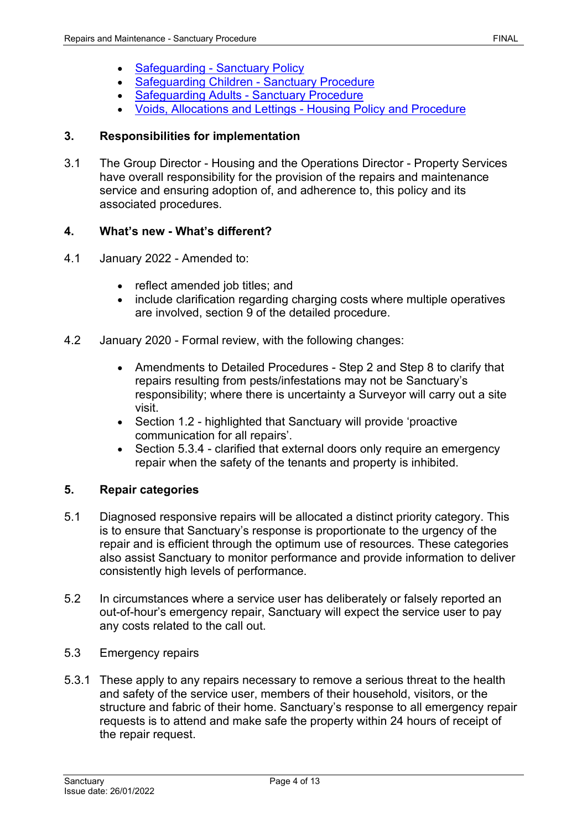- [Safeguarding -](https://solis/PolicyManagement/policy/Policies/Forms/Policy%20Document%20Set/docsethomepage.aspx?ID=3860&FolderCTID=0x0120D52000DE99EA054D4DF944BE591D81E49729D0008C670BDB86BED740B0B89E295CD8357C&List=a03723e1-d48b-4958-9669-9b86a90ef8b0&RootFolder=%2FPolicyManagement%2Fpolicy%2FPolicies%2FSafeguarding%20Adults%20%2D%20Group&RecSrc=%2FPolicyManagement%2Fpolicy%2FPolicies%2FSafeguarding%20Adults%20%2D%20Group) Sanctuary Policy
- [Safeguarding Children -](https://solis/PolicyManagement/policy/Policies/Forms/Policy%20Document%20Set/docsethomepage.aspx?ID=3989&FolderCTID=0x0120D52000DE99EA054D4DF944BE591D81E49729D0008C670BDB86BED740B0B89E295CD8357C&List=a03723e1-d48b-4958-9669-9b86a90ef8b0&RootFolder=%2FPolicyManagement%2Fpolicy%2FPolicies%2FSafeguarding%20Children%20%2D%20Group&RecSrc=%2FPolicyManagement%2Fpolicy%2FPolicies%2FSafeguarding%20Children%20%2D%20Group) Sanctuary Procedure
- [Safeguarding Adults -](https://solis/PolicyManagement/policy/Policies/Forms/Policy%20Document%20Set/docsethomepage.aspx?ID=3860&FolderCTID=0x0120D52000DE99EA054D4DF944BE591D81E49729D0008C670BDB86BED740B0B89E295CD8357C&List=a03723e1-d48b-4958-9669-9b86a90ef8b0&RootFolder=%2FPolicyManagement%2Fpolicy%2FPolicies%2FSafeguarding%20Adults%20%2D%20Group&RecSrc=%2FPolicyManagement%2Fpolicy%2FPolicies%2FSafeguarding%20Adults%20%2D%20Group) Sanctuary Procedure
- [Voids, Allocations and Lettings -](https://solis/PolicyManagement/policy/Policies/Forms/Policy%20Document%20Set/docsethomepage.aspx?ID=4255&FolderCTID=0x0120D52000DE99EA054D4DF944BE591D81E49729D0008C670BDB86BED740B0B89E295CD8357C&List=a03723e1-d48b-4958-9669-9b86a90ef8b0&RootFolder=%2FPolicyManagement%2Fpolicy%2FPolicies%2FVoids%2C%20Allocations%20and%20Lettings%20%2D%20Housing&RecSrc=%2FPolicyManagement%2Fpolicy%2FPolicies%2FVoids%2C%20Allocations%20and%20Lettings%20%2D%20Housing) Housing Policy and Procedure

### <span id="page-3-0"></span>**3. Responsibilities for implementation**

3.1 The Group Director - Housing and the Operations Director - Property Services have overall responsibility for the provision of the repairs and maintenance service and ensuring adoption of, and adherence to, this policy and its associated procedures.

# <span id="page-3-1"></span>**4. What's new - What's different?**

- 4.1 January 2022 Amended to:
	- reflect amended job titles; and
	- include clarification regarding charging costs where multiple operatives are involved, section 9 of the detailed procedure.
- 4.2 January 2020 Formal review, with the following changes:
	- Amendments to Detailed Procedures Step 2 and Step 8 to clarify that repairs resulting from pests/infestations may not be Sanctuary's responsibility; where there is uncertainty a Surveyor will carry out a site visit.
	- Section 1.2 highlighted that Sanctuary will provide 'proactive communication for all repairs'.
	- Section 5.3.4 clarified that external doors only require an emergency repair when the safety of the tenants and property is inhibited.

#### <span id="page-3-2"></span>**5. Repair categories**

- 5.1 Diagnosed responsive repairs will be allocated a distinct priority category. This is to ensure that Sanctuary's response is proportionate to the urgency of the repair and is efficient through the optimum use of resources. These categories also assist Sanctuary to monitor performance and provide information to deliver consistently high levels of performance.
- 5.2 In circumstances where a service user has deliberately or falsely reported an out-of-hour's emergency repair, Sanctuary will expect the service user to pay any costs related to the call out.
- 5.3 Emergency repairs
- 5.3.1 These apply to any repairs necessary to remove a serious threat to the health and safety of the service user, members of their household, visitors, or the structure and fabric of their home. Sanctuary's response to all emergency repair requests is to attend and make safe the property within 24 hours of receipt of the repair request.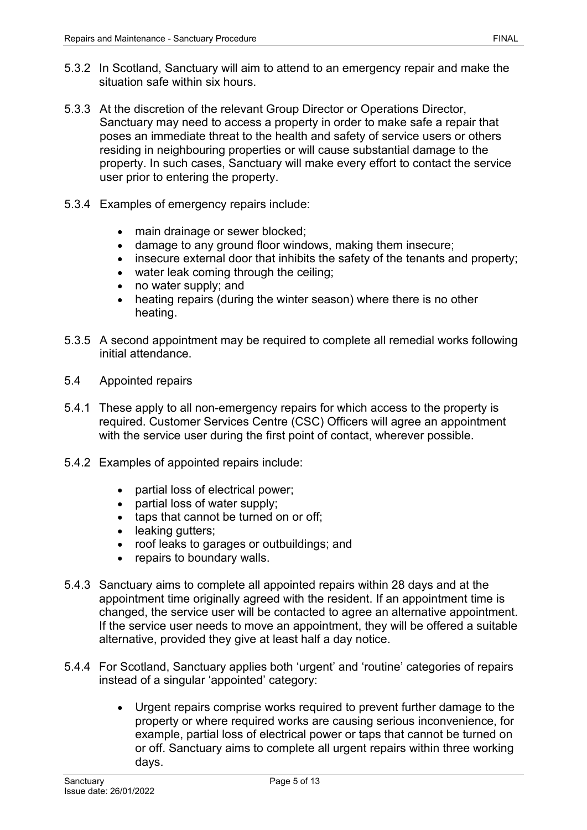- 5.3.2 In Scotland, Sanctuary will aim to attend to an emergency repair and make the situation safe within six hours.
- 5.3.3 At the discretion of the relevant Group Director or Operations Director, Sanctuary may need to access a property in order to make safe a repair that poses an immediate threat to the health and safety of service users or others residing in neighbouring properties or will cause substantial damage to the property. In such cases, Sanctuary will make every effort to contact the service user prior to entering the property.
- 5.3.4 Examples of emergency repairs include:
	- main drainage or sewer blocked;
	- damage to any ground floor windows, making them insecure;
	- insecure external door that inhibits the safety of the tenants and property;
	- water leak coming through the ceiling;
	- no water supply; and
	- heating repairs (during the winter season) where there is no other heating.
- 5.3.5 A second appointment may be required to complete all remedial works following initial attendance.
- 5.4 Appointed repairs
- 5.4.1 These apply to all non-emergency repairs for which access to the property is required. Customer Services Centre (CSC) Officers will agree an appointment with the service user during the first point of contact, wherever possible.
- 5.4.2 Examples of appointed repairs include:
	- partial loss of electrical power;
	- partial loss of water supply;
	- taps that cannot be turned on or off;
	- leaking gutters;
	- roof leaks to garages or outbuildings; and
	- repairs to boundary walls.
- 5.4.3 Sanctuary aims to complete all appointed repairs within 28 days and at the appointment time originally agreed with the resident. If an appointment time is changed, the service user will be contacted to agree an alternative appointment. If the service user needs to move an appointment, they will be offered a suitable alternative, provided they give at least half a day notice.
- 5.4.4 For Scotland, Sanctuary applies both 'urgent' and 'routine' categories of repairs instead of a singular 'appointed' category:
	- Urgent repairs comprise works required to prevent further damage to the property or where required works are causing serious inconvenience, for example, partial loss of electrical power or taps that cannot be turned on or off. Sanctuary aims to complete all urgent repairs within three working days.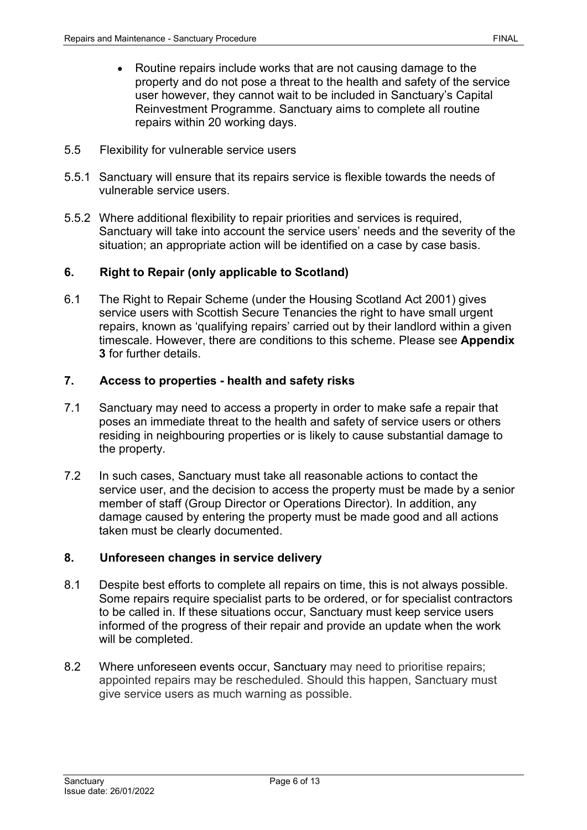- Routine repairs include works that are not causing damage to the property and do not pose a threat to the health and safety of the service user however, they cannot wait to be included in Sanctuary's Capital Reinvestment Programme. Sanctuary aims to complete all routine repairs within 20 working days.
- 5.5 Flexibility for vulnerable service users
- 5.5.1 Sanctuary will ensure that its repairs service is flexible towards the needs of vulnerable service users.
- 5.5.2 Where additional flexibility to repair priorities and services is required, Sanctuary will take into account the service users' needs and the severity of the situation; an appropriate action will be identified on a case by case basis.

# <span id="page-5-0"></span>**6. Right to Repair (only applicable to Scotland)**

6.1 The Right to Repair Scheme (under the Housing Scotland Act 2001) gives service users with Scottish Secure Tenancies the right to have small urgent repairs, known as 'qualifying repairs' carried out by their landlord within a given timescale. However, there are conditions to this scheme. Please see **Appendix 3** for further details.

#### <span id="page-5-1"></span>**7. Access to properties - health and safety risks**

- 7.1 Sanctuary may need to access a property in order to make safe a repair that poses an immediate threat to the health and safety of service users or others residing in neighbouring properties or is likely to cause substantial damage to the property.
- 7.2 In such cases, Sanctuary must take all reasonable actions to contact the service user, and the decision to access the property must be made by a senior member of staff (Group Director or Operations Director). In addition, any damage caused by entering the property must be made good and all actions taken must be clearly documented.

#### <span id="page-5-2"></span>**8. Unforeseen changes in service delivery**

- 8.1 Despite best efforts to complete all repairs on time, this is not always possible. Some repairs require specialist parts to be ordered, or for specialist contractors to be called in. If these situations occur, Sanctuary must keep service users informed of the progress of their repair and provide an update when the work will be completed.
- 8.2 Where unforeseen events occur, Sanctuary may need to prioritise repairs; appointed repairs may be rescheduled. Should this happen, Sanctuary must give service users as much warning as possible.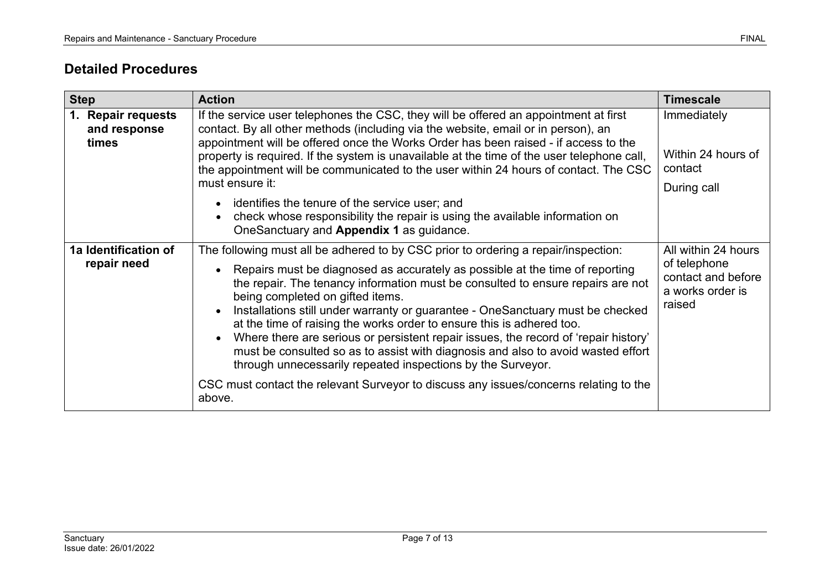# **Detailed Procedures**

<span id="page-6-1"></span><span id="page-6-0"></span>

| <b>Step</b>                                 | <b>Action</b>                                                                                                                                                                                                                                                                                                                                                                                                                                                                                                                                                                                                                                                                                                                                                                                                               | <b>Timescale</b>                                                                        |
|---------------------------------------------|-----------------------------------------------------------------------------------------------------------------------------------------------------------------------------------------------------------------------------------------------------------------------------------------------------------------------------------------------------------------------------------------------------------------------------------------------------------------------------------------------------------------------------------------------------------------------------------------------------------------------------------------------------------------------------------------------------------------------------------------------------------------------------------------------------------------------------|-----------------------------------------------------------------------------------------|
| 1. Repair requests<br>and response<br>times | If the service user telephones the CSC, they will be offered an appointment at first<br>contact. By all other methods (including via the website, email or in person), an<br>appointment will be offered once the Works Order has been raised - if access to the<br>property is required. If the system is unavailable at the time of the user telephone call,<br>the appointment will be communicated to the user within 24 hours of contact. The CSC<br>must ensure it:<br>identifies the tenure of the service user; and                                                                                                                                                                                                                                                                                                 | Immediately<br>Within 24 hours of<br>contact<br>During call                             |
|                                             | check whose responsibility the repair is using the available information on<br>OneSanctuary and Appendix 1 as guidance.                                                                                                                                                                                                                                                                                                                                                                                                                                                                                                                                                                                                                                                                                                     |                                                                                         |
| 1a Identification of<br>repair need         | The following must all be adhered to by CSC prior to ordering a repair/inspection:<br>Repairs must be diagnosed as accurately as possible at the time of reporting<br>$\bullet$<br>the repair. The tenancy information must be consulted to ensure repairs are not<br>being completed on gifted items.<br>Installations still under warranty or guarantee - OneSanctuary must be checked<br>$\bullet$<br>at the time of raising the works order to ensure this is adhered too.<br>Where there are serious or persistent repair issues, the record of 'repair history'<br>must be consulted so as to assist with diagnosis and also to avoid wasted effort<br>through unnecessarily repeated inspections by the Surveyor.<br>CSC must contact the relevant Surveyor to discuss any issues/concerns relating to the<br>above. | All within 24 hours<br>of telephone<br>contact and before<br>a works order is<br>raised |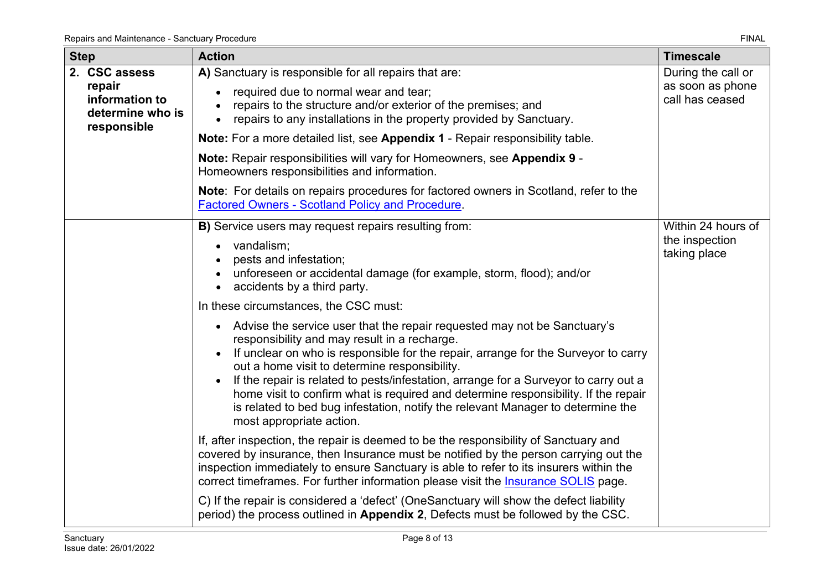<span id="page-7-0"></span>

| <b>Step</b> |                                                                              | <b>Action</b>                                                                                                                                                                                                                                                                                                                                                                                                                                                                                                                                                  | <b>Timescale</b>                                          |
|-------------|------------------------------------------------------------------------------|----------------------------------------------------------------------------------------------------------------------------------------------------------------------------------------------------------------------------------------------------------------------------------------------------------------------------------------------------------------------------------------------------------------------------------------------------------------------------------------------------------------------------------------------------------------|-----------------------------------------------------------|
|             | 2. CSC assess<br>repair<br>information to<br>determine who is<br>responsible | A) Sanctuary is responsible for all repairs that are:<br>required due to normal wear and tear;<br>repairs to the structure and/or exterior of the premises; and<br>repairs to any installations in the property provided by Sanctuary.<br>$\bullet$                                                                                                                                                                                                                                                                                                            | During the call or<br>as soon as phone<br>call has ceased |
|             |                                                                              | Note: For a more detailed list, see Appendix 1 - Repair responsibility table.                                                                                                                                                                                                                                                                                                                                                                                                                                                                                  |                                                           |
|             |                                                                              | Note: Repair responsibilities will vary for Homeowners, see Appendix 9 -<br>Homeowners responsibilities and information.                                                                                                                                                                                                                                                                                                                                                                                                                                       |                                                           |
|             |                                                                              | <b>Note:</b> For details on repairs procedures for factored owners in Scotland, refer to the<br><b>Factored Owners - Scotland Policy and Procedure.</b>                                                                                                                                                                                                                                                                                                                                                                                                        |                                                           |
|             |                                                                              | B) Service users may request repairs resulting from:                                                                                                                                                                                                                                                                                                                                                                                                                                                                                                           | Within 24 hours of                                        |
|             |                                                                              | vandalism;<br>pests and infestation;<br>unforeseen or accidental damage (for example, storm, flood); and/or<br>accidents by a third party.<br>$\bullet$                                                                                                                                                                                                                                                                                                                                                                                                        | the inspection<br>taking place                            |
|             |                                                                              | In these circumstances, the CSC must:                                                                                                                                                                                                                                                                                                                                                                                                                                                                                                                          |                                                           |
|             |                                                                              | • Advise the service user that the repair requested may not be Sanctuary's<br>responsibility and may result in a recharge.<br>If unclear on who is responsible for the repair, arrange for the Surveyor to carry<br>out a home visit to determine responsibility.<br>If the repair is related to pests/infestation, arrange for a Surveyor to carry out a<br>home visit to confirm what is required and determine responsibility. If the repair<br>is related to bed bug infestation, notify the relevant Manager to determine the<br>most appropriate action. |                                                           |
|             |                                                                              | If, after inspection, the repair is deemed to be the responsibility of Sanctuary and<br>covered by insurance, then Insurance must be notified by the person carrying out the<br>inspection immediately to ensure Sanctuary is able to refer to its insurers within the<br>correct timeframes. For further information please visit the <i>Insurance SOLIS</i> page.                                                                                                                                                                                            |                                                           |
|             |                                                                              | C) If the repair is considered a 'defect' (OneSanctuary will show the defect liability<br>period) the process outlined in Appendix 2, Defects must be followed by the CSC.                                                                                                                                                                                                                                                                                                                                                                                     |                                                           |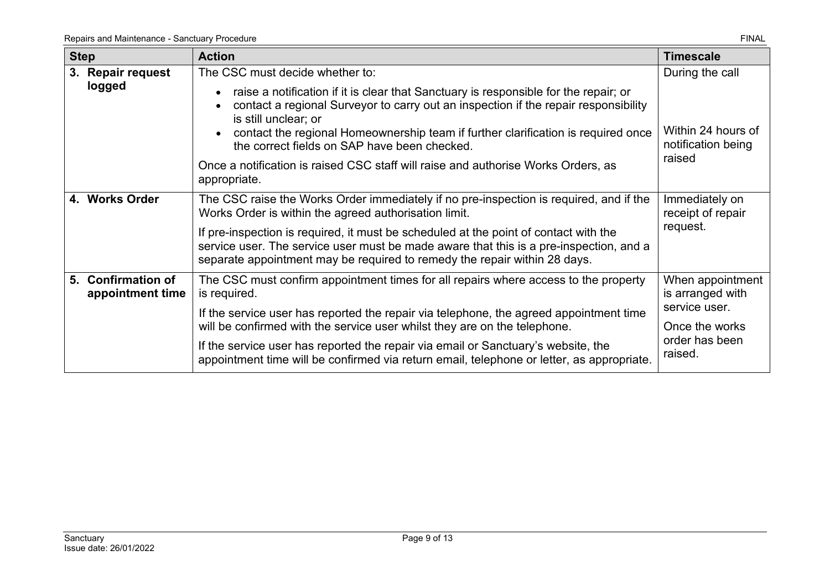<span id="page-8-2"></span><span id="page-8-1"></span><span id="page-8-0"></span>

| <b>Step</b>                            | <b>Action</b>                                                                                                                                                                                                                                                                                                                            | <b>Timescale</b>                                                                                     |
|----------------------------------------|------------------------------------------------------------------------------------------------------------------------------------------------------------------------------------------------------------------------------------------------------------------------------------------------------------------------------------------|------------------------------------------------------------------------------------------------------|
| 3. Repair request                      | The CSC must decide whether to:                                                                                                                                                                                                                                                                                                          | During the call                                                                                      |
| logged                                 | raise a notification if it is clear that Sanctuary is responsible for the repair; or<br>contact a regional Surveyor to carry out an inspection if the repair responsibility<br>is still unclear; or<br>contact the regional Homeownership team if further clarification is required once<br>the correct fields on SAP have been checked. | Within 24 hours of<br>notification being                                                             |
|                                        | Once a notification is raised CSC staff will raise and authorise Works Orders, as<br>appropriate.                                                                                                                                                                                                                                        | raised                                                                                               |
| 4. Works Order                         | The CSC raise the Works Order immediately if no pre-inspection is required, and if the<br>Works Order is within the agreed authorisation limit.                                                                                                                                                                                          | Immediately on<br>receipt of repair                                                                  |
|                                        | If pre-inspection is required, it must be scheduled at the point of contact with the<br>service user. The service user must be made aware that this is a pre-inspection, and a<br>separate appointment may be required to remedy the repair within 28 days.                                                                              | request.                                                                                             |
| 5. Confirmation of<br>appointment time | The CSC must confirm appointment times for all repairs where access to the property<br>is required.                                                                                                                                                                                                                                      | When appointment<br>is arranged with<br>service user.<br>Once the works<br>order has been<br>raised. |
|                                        | If the service user has reported the repair via telephone, the agreed appointment time<br>will be confirmed with the service user whilst they are on the telephone.                                                                                                                                                                      |                                                                                                      |
|                                        | If the service user has reported the repair via email or Sanctuary's website, the<br>appointment time will be confirmed via return email, telephone or letter, as appropriate.                                                                                                                                                           |                                                                                                      |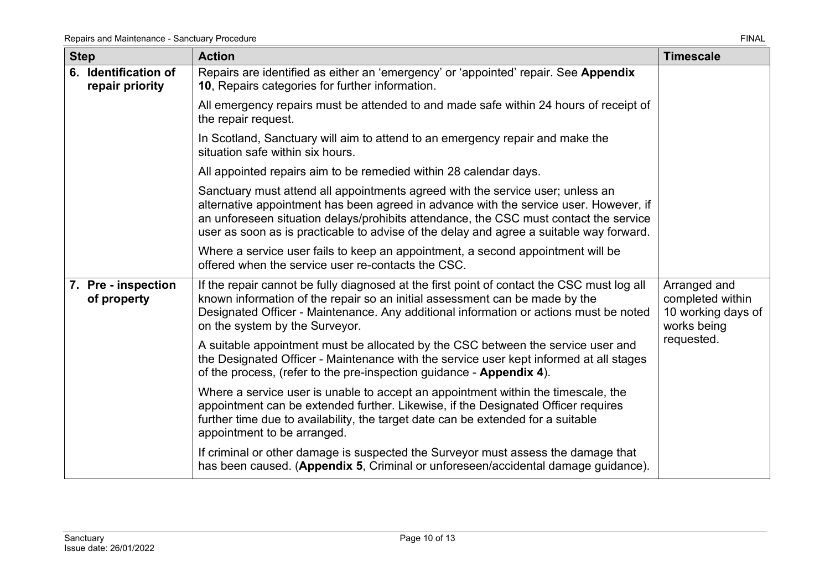<span id="page-9-1"></span><span id="page-9-0"></span>

| <b>Step</b> |                                         | <b>Action</b>                                                                                                                                                                                                                                                                                                                                               | <b>Timescale</b>                                                      |
|-------------|-----------------------------------------|-------------------------------------------------------------------------------------------------------------------------------------------------------------------------------------------------------------------------------------------------------------------------------------------------------------------------------------------------------------|-----------------------------------------------------------------------|
|             | 6. Identification of<br>repair priority | Repairs are identified as either an 'emergency' or 'appointed' repair. See Appendix<br>10, Repairs categories for further information.                                                                                                                                                                                                                      |                                                                       |
|             |                                         | All emergency repairs must be attended to and made safe within 24 hours of receipt of<br>the repair request.                                                                                                                                                                                                                                                |                                                                       |
|             |                                         | In Scotland, Sanctuary will aim to attend to an emergency repair and make the<br>situation safe within six hours.                                                                                                                                                                                                                                           |                                                                       |
|             |                                         | All appointed repairs aim to be remedied within 28 calendar days.                                                                                                                                                                                                                                                                                           |                                                                       |
|             |                                         | Sanctuary must attend all appointments agreed with the service user; unless an<br>alternative appointment has been agreed in advance with the service user. However, if<br>an unforeseen situation delays/prohibits attendance, the CSC must contact the service<br>user as soon as is practicable to advise of the delay and agree a suitable way forward. |                                                                       |
|             |                                         | Where a service user fails to keep an appointment, a second appointment will be<br>offered when the service user re-contacts the CSC.                                                                                                                                                                                                                       |                                                                       |
|             | 7. Pre - inspection<br>of property      | If the repair cannot be fully diagnosed at the first point of contact the CSC must log all<br>known information of the repair so an initial assessment can be made by the<br>Designated Officer - Maintenance. Any additional information or actions must be noted<br>on the system by the Surveyor.                                                        | Arranged and<br>completed within<br>10 working days of<br>works being |
|             |                                         | A suitable appointment must be allocated by the CSC between the service user and<br>the Designated Officer - Maintenance with the service user kept informed at all stages<br>of the process, (refer to the pre-inspection guidance - Appendix 4).                                                                                                          | requested.                                                            |
|             |                                         | Where a service user is unable to accept an appointment within the timescale, the<br>appointment can be extended further. Likewise, if the Designated Officer requires<br>further time due to availability, the target date can be extended for a suitable<br>appointment to be arranged.                                                                   |                                                                       |
|             |                                         | If criminal or other damage is suspected the Surveyor must assess the damage that<br>has been caused. (Appendix 5, Criminal or unforeseen/accidental damage guidance).                                                                                                                                                                                      |                                                                       |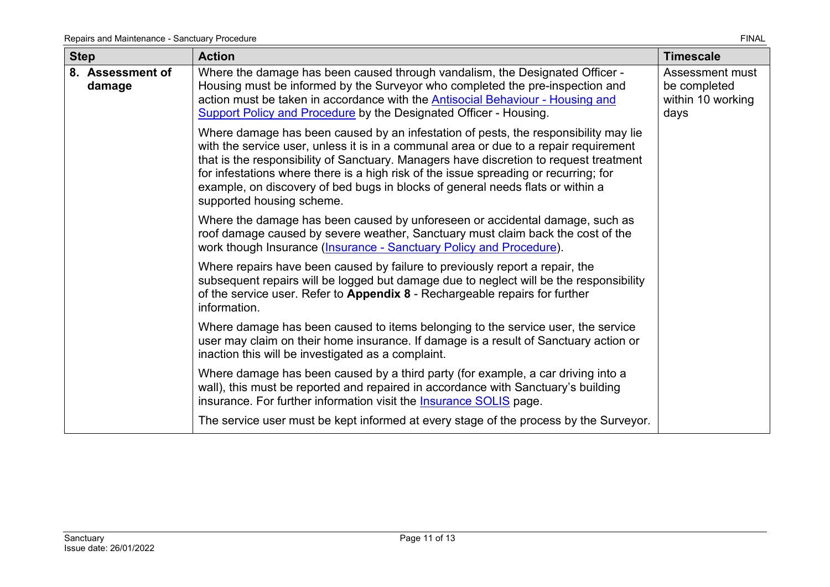<span id="page-10-0"></span>

| <b>Step</b>                | <b>Action</b>                                                                                                                                                                                                                                                                                                                                                                                                                                                                 | <b>Timescale</b>                                             |
|----------------------------|-------------------------------------------------------------------------------------------------------------------------------------------------------------------------------------------------------------------------------------------------------------------------------------------------------------------------------------------------------------------------------------------------------------------------------------------------------------------------------|--------------------------------------------------------------|
| 8. Assessment of<br>damage | Where the damage has been caused through vandalism, the Designated Officer -<br>Housing must be informed by the Surveyor who completed the pre-inspection and<br>action must be taken in accordance with the <b>Antisocial Behaviour - Housing and</b><br><b>Support Policy and Procedure by the Designated Officer - Housing.</b>                                                                                                                                            | Assessment must<br>be completed<br>within 10 working<br>days |
|                            | Where damage has been caused by an infestation of pests, the responsibility may lie<br>with the service user, unless it is in a communal area or due to a repair requirement<br>that is the responsibility of Sanctuary. Managers have discretion to request treatment<br>for infestations where there is a high risk of the issue spreading or recurring; for<br>example, on discovery of bed bugs in blocks of general needs flats or within a<br>supported housing scheme. |                                                              |
|                            | Where the damage has been caused by unforeseen or accidental damage, such as<br>roof damage caused by severe weather, Sanctuary must claim back the cost of the<br>work though Insurance (Insurance - Sanctuary Policy and Procedure).                                                                                                                                                                                                                                        |                                                              |
|                            | Where repairs have been caused by failure to previously report a repair, the<br>subsequent repairs will be logged but damage due to neglect will be the responsibility<br>of the service user. Refer to Appendix 8 - Rechargeable repairs for further<br>information.                                                                                                                                                                                                         |                                                              |
|                            | Where damage has been caused to items belonging to the service user, the service<br>user may claim on their home insurance. If damage is a result of Sanctuary action or<br>inaction this will be investigated as a complaint.                                                                                                                                                                                                                                                |                                                              |
|                            | Where damage has been caused by a third party (for example, a car driving into a<br>wall), this must be reported and repaired in accordance with Sanctuary's building<br>insurance. For further information visit the <b>Insurance SOLIS</b> page.                                                                                                                                                                                                                            |                                                              |
|                            | The service user must be kept informed at every stage of the process by the Surveyor.                                                                                                                                                                                                                                                                                                                                                                                         |                                                              |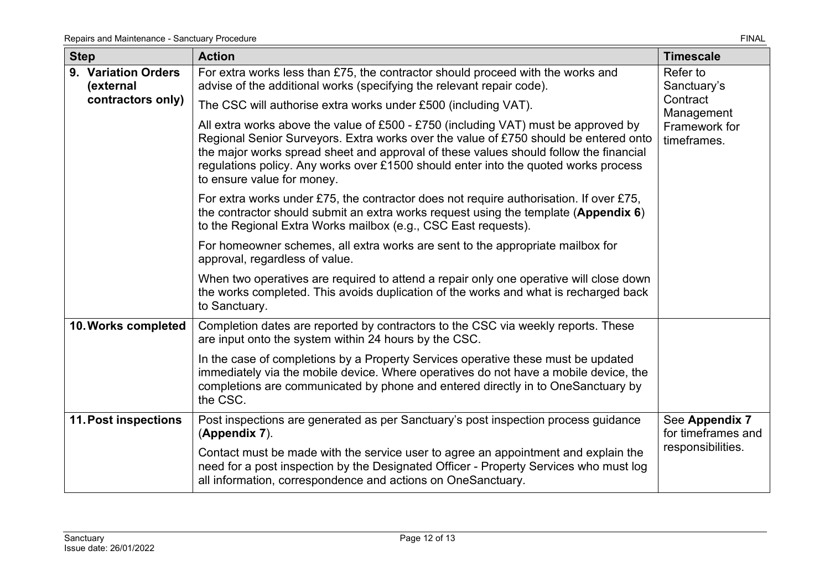<span id="page-11-2"></span><span id="page-11-1"></span><span id="page-11-0"></span>

| <b>Step</b>                      | <b>Action</b>                                                                                                                                                                                                                                                                                                                                                                            | <b>Timescale</b>                     |
|----------------------------------|------------------------------------------------------------------------------------------------------------------------------------------------------------------------------------------------------------------------------------------------------------------------------------------------------------------------------------------------------------------------------------------|--------------------------------------|
| 9. Variation Orders<br>(external | For extra works less than £75, the contractor should proceed with the works and<br>advise of the additional works (specifying the relevant repair code).                                                                                                                                                                                                                                 | Refer to<br>Sanctuary's              |
| contractors only)                | The CSC will authorise extra works under £500 (including VAT).                                                                                                                                                                                                                                                                                                                           | Contract<br>Management               |
|                                  | All extra works above the value of £500 - £750 (including VAT) must be approved by<br>Regional Senior Surveyors. Extra works over the value of £750 should be entered onto<br>the major works spread sheet and approval of these values should follow the financial<br>regulations policy. Any works over £1500 should enter into the quoted works process<br>to ensure value for money. | Framework for<br>timeframes.         |
|                                  | For extra works under £75, the contractor does not require authorisation. If over £75,<br>the contractor should submit an extra works request using the template (Appendix 6)<br>to the Regional Extra Works mailbox (e.g., CSC East requests).                                                                                                                                          |                                      |
|                                  | For homeowner schemes, all extra works are sent to the appropriate mailbox for<br>approval, regardless of value.                                                                                                                                                                                                                                                                         |                                      |
|                                  | When two operatives are required to attend a repair only one operative will close down<br>the works completed. This avoids duplication of the works and what is recharged back<br>to Sanctuary.                                                                                                                                                                                          |                                      |
| 10. Works completed              | Completion dates are reported by contractors to the CSC via weekly reports. These<br>are input onto the system within 24 hours by the CSC.                                                                                                                                                                                                                                               |                                      |
|                                  | In the case of completions by a Property Services operative these must be updated<br>immediately via the mobile device. Where operatives do not have a mobile device, the<br>completions are communicated by phone and entered directly in to OneSanctuary by<br>the CSC.                                                                                                                |                                      |
| <b>11. Post inspections</b>      | Post inspections are generated as per Sanctuary's post inspection process guidance<br>(Appendix 7).                                                                                                                                                                                                                                                                                      | See Appendix 7<br>for timeframes and |
|                                  | Contact must be made with the service user to agree an appointment and explain the<br>need for a post inspection by the Designated Officer - Property Services who must log<br>all information, correspondence and actions on OneSanctuary.                                                                                                                                              | responsibilities.                    |